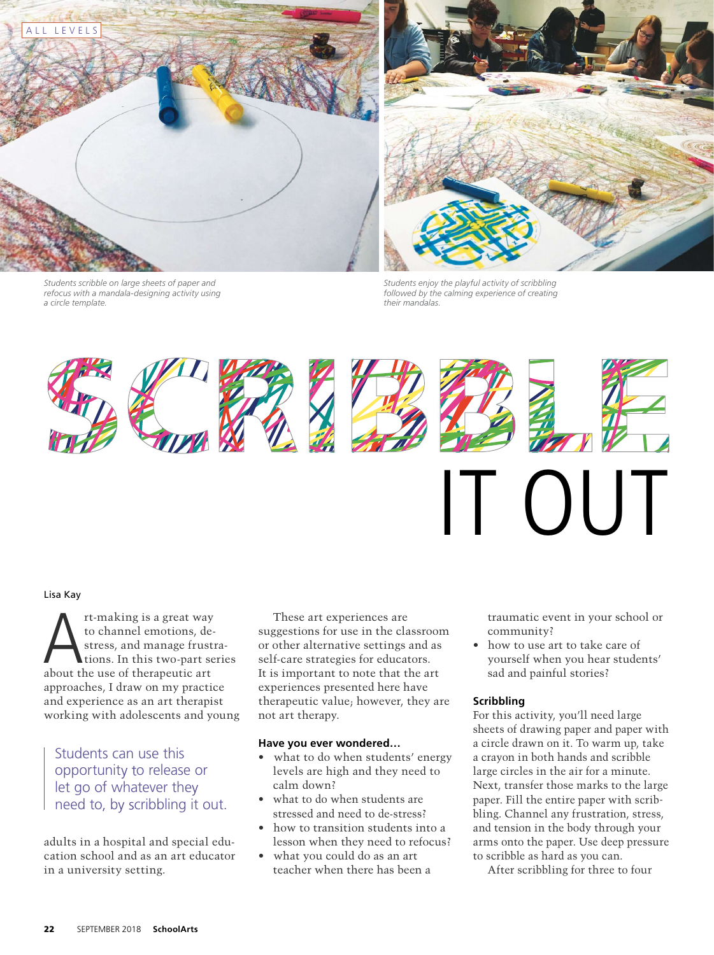



*Students scribble on large sheets of paper and refocus with a mandala-designing activity using a circle template.*

*Students enjoy the playful activity of scribbling followed by the calming experience of creating their mandalas.*



A Lisa Kay rt-making is a great way to channel emotions, destress, and manage frustrations. In this two-part series about the use of therapeutic art approaches, I draw on my practice and experience as an art therapist working with adolescents and young

Students can use this opportunity to release or let go of whatever the need to, by scribbling it out.

adults in a hospital and special education school and as an art educator in a university setting.

These art experiences are suggestions for use in the classroom or other alternative settings and as self-care strategies for educators. It is important to note that the art experiences presented here have therapeutic value; however, they are not art therapy.

#### **Have you ever wondered…**

- what to do when students' energy levels are high and they need to calm down?
- what to do when students are stressed and need to de-stress?
- how to transition students into a lesson when they need to refocus?
- what you could do as an art teacher when there has been a

traumatic event in your school or community?

• how to use art to take care of yourself when you hear students' sad and painful stories?

## **Scribbling**

For this activity, you'll need large sheets of drawing paper and paper with a circle drawn on it. To warm up, take a crayon in both hands and scribble large circles in the air for a minute. Next, transfer those marks to the large paper. Fill the entire paper with scribbling. Channel any frustration, stress, and tension in the body through your arms onto the paper. Use deep pressure to scribble as hard as you can.

After scribbling for three to four